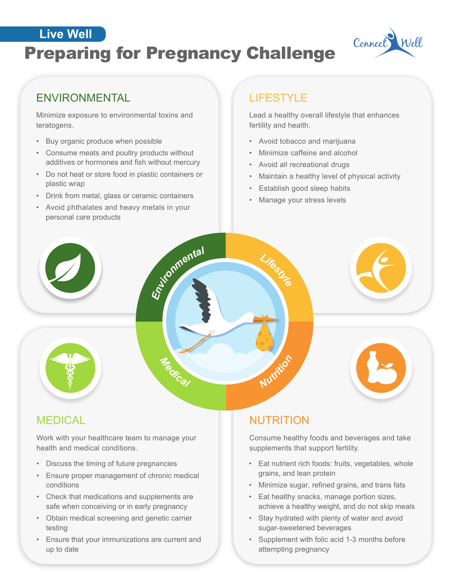# **EIVE Well State Connect Preparing for Pregnancy Challenge** Connect Well **Live Well**



## ENVIRONMENTAL LIFESTYLE

Minimize exposure to environmental toxins and teratogens.

- Buy organic produce when possible
- Consume meats and poultry products without additives or hormones and fish without mercury
- Do not heat or store food in plastic containers or plastic wrap
- Drink from metal, glass or ceramic containers
- Avoid phthalates and heavy metals in your personal care products

Lead a healthy overall lifestyle that enhances fertility and health.

- Avoid tobacco and marijuana
- Minimize caffeine and alcohol
- Avoid all recreational drugs
- Maintain a healthy level of physical activity
- Establish good sleep habits
- Manage your stress levels

Work with your healthcare team to manage your health and medical conditions.

 $\leq$ 

*<sup>e</sup>dica<sup>l</sup>*

*Environmenta<sup>l</sup>*

- Discuss the timing of future pregnancies
- Ensure proper management of chronic medical conditions
- Check that medications and supplements are safe when conceiving or in early pregnancy
- Obtain medical screening and genetic carrier testing
- Ensure that your immunizations are current and up to date

## MEDICAL **NUTRITION**

*Nutriti<sup>o</sup> n*

*Lifestyle*

Consume healthy foods and beverages and take supplements that support fertility.

- Eat nutrient rich foods: fruits, vegetables, whole grains, and lean protein
- Minimize sugar, refined grains, and trans fats
- Eat healthy snacks, manage portion sizes, achieve a healthy weight, and do not skip meals
- Stay hydrated with plenty of water and avoid sugar-sweetened beverages
- Supplement with folic acid 1-3 months before attempting pregnancy